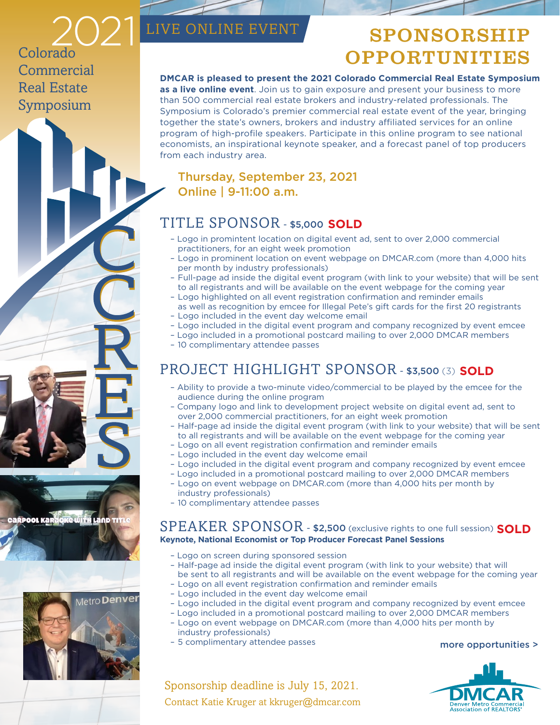LIVE ONLINE EVENT SPONSORSHIP **OPPORTUNITIES** 

Colorado **Commercial** Real Estate Symposium

#### **DMCAR is pleased to present the 2021 Colorado Commercial Real Estate Symposium**

**as a live online event**. Join us to gain exposure and present your business to more than 500 commercial real estate brokers and industry-related professionals. The Symposium is Colorado's premier commercial real estate event of the year, bringing together the state's owners, brokers and industry affiliated services for an online program of high-profile speakers. Participate in this online program to see national economists, an inspirational keynote speaker, and a forecast panel of top producers from each industry area.

## Thursday, September 23, 2021 Online | 9-11:00 a.m.

## TITLE SPONSOR - \$5,000  **SOLD**

- Logo in promintent location on digital event ad, sent to over 2,000 commercial practitioners, for an eight week promotion
- Logo in prominent location on event webpage on DMCAR.com (more than 4,000 hits per month by industry professionals)
- Full-page ad inside the digital event program (with link to your website) that will be sent to all registrants and will be available on the event webpage for the coming year
- Logo highlighted on all event registration confirmation and reminder emails as well as recognition by emcee for Illegal Pete's gift cards for the first 20 registrants
- Logo included in the event day welcome email
- Logo included in the digital event program and company recognized by event emcee
- Logo included in a promotional postcard mailing to over 2,000 DMCAR members
- 10 complimentary attendee passes

## **PROJECT HIGHLIGHT SPONSOR - \$3,500 (3) SOLD**

- Ability to provide a two-minute video/commercial to be played by the emcee for the audience during the online program
- Company logo and link to development project website on digital event ad, sent to over 2,000 commercial practitioners, for an eight week promotion
- Half-page ad inside the digital event program (with link to your website) that will be sent to all registrants and will be available on the event webpage for the coming year
- Logo on all event registration confirmation and reminder emails
- Logo included in the event day welcome email
- Logo included in the digital event program and company recognized by event emcee
- Logo included in a promotional postcard mailing to over 2,000 DMCAR members
- Logo on event webpage on DMCAR.com (more than 4,000 hits per month by industry professionals)
- 10 complimentary attendee passes

### SPEAKER SPONSOR - \$2,500 (exclusive rights to one full session)  **SOLD Keynote, National Economist or Top Producer Forecast Panel Sessions**

- Logo on screen during sponsored session
- Half-page ad inside the digital event program (with link to your website) that will be sent to all registrants and will be available on the event webpage for the coming year
- Logo on all event registration confirmation and reminder emails
- Logo included in the event day welcome email
- Logo included in the digital event program and company recognized by event emcee
- Logo included in a promotional postcard mailing to over 2,000 DMCAR members
	- Logo on event webpage on DMCAR.com (more than 4,000 hits per month by industry professionals)
	- 5 complimentary attendee passes

#### more opportunities >

Accoriation of REALTORS





Sponsorship deadline is July 15, 2021. Contact Katie Kruger at kkruger@dmcar.com